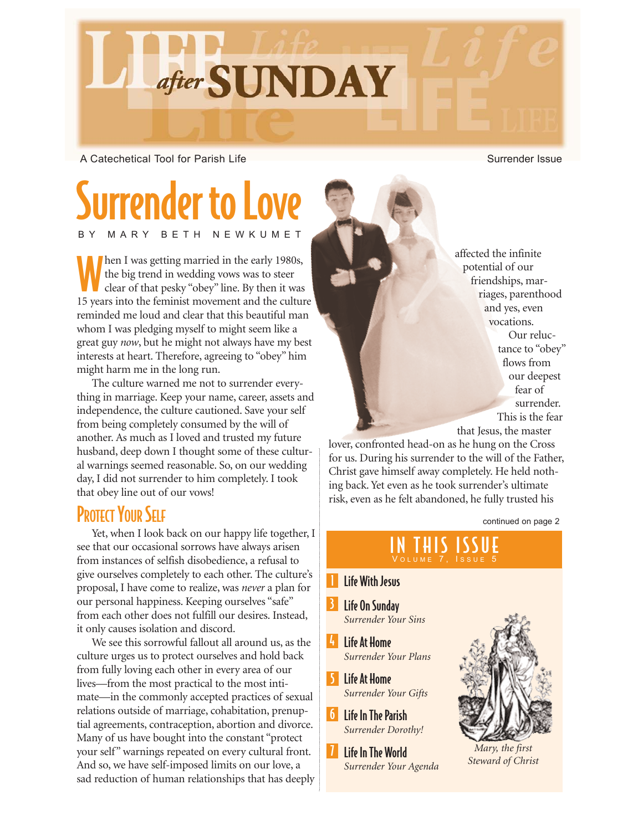

A Catechetical Tool for Parish Life Surrender Issue

# Surrender to Love BETH NEWKUMET

Men I was getting married in the early 1980s,<br>the big trend in wedding vows was to steer<br>clear of that pesky "obey" line. By then it was the big trend in wedding vows was to steer 15 years into the feminist movement and the culture reminded me loud and clear that this beautiful man whom I was pledging myself to might seem like a great guy *now*, but he might not always have my best interests at heart. Therefore, agreeing to "obey" him might harm me in the long run.

The culture warned me not to surrender everything in marriage. Keep your name, career, assets and independence, the culture cautioned. Save your self from being completely consumed by the will of another. As much as I loved and trusted my future husband, deep down I thought some of these cultural warnings seemed reasonable. So, on our wedding day, I did not surrender to him completely. I took that obey line out of our vows!

#### **PROTECT YOUR SELF**

Yet, when I look back on our happy life together, I see that our occasional sorrows have always arisen from instances of selfish disobedience, a refusal to give ourselves completely to each other. The culture's proposal, I have come to realize, was *never* a plan for our personal happiness. Keeping ourselves "safe" from each other does not fulfill our desires. Instead, it only causes isolation and discord.

We see this sorrowful fallout all around us, as the culture urges us to protect ourselves and hold back from fully loving each other in every area of our lives—from the most practical to the most intimate—in the commonly accepted practices of sexual relations outside of marriage, cohabitation, prenuptial agreements, contraception, abortion and divorce. Many of us have bought into the constant "protect your self" warnings repeated on every cultural front. And so, we have self-imposed limits on our love, a sad reduction of human relationships that has deeply

affected the infinite potential of our friendships, marriages, parenthood and yes, even vocations. Our reluctance to "obey" flows from our deepest fear of surrender. This is the fear that Jesus, the master

lover, confronted head-on as he hung on the Cross for us. During his surrender to the will of the Father, Christ gave himself away completely. He held nothing back. Yet even as he took surrender's ultimate risk, even as he felt abandoned, he fully trusted his

continued on page 2

# IN THIS ISSUE

#### Life With Jesus

1

- 3 Life On Sunday *Surrender Your Sins*
- 4 Life At Home *Surrender Your Plans*
- 5 Life At Home *Surrender Your Gifts*
- **6** Life In The Parish *Surrender Dorothy!*
- 7 Life In The World *Surrender Your Agenda*



*Mary, the first Steward of Christ*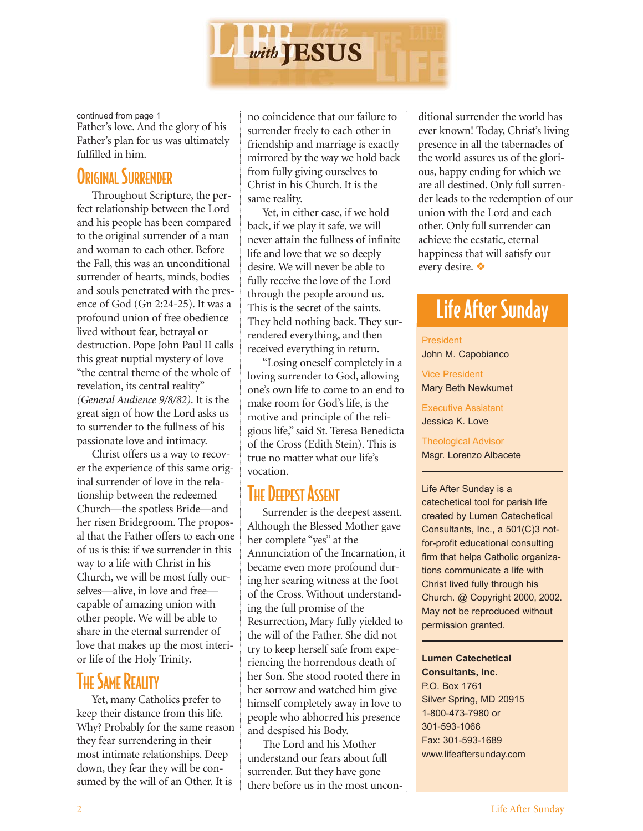

continued from page 1

Father's love. And the glory of his Father's plan for us was ultimately fulfilled in him.

#### ORIGINAL SURRENDER

Throughout Scripture, the perfect relationship between the Lord and his people has been compared to the original surrender of a man and woman to each other. Before the Fall, this was an unconditional surrender of hearts, minds, bodies and souls penetrated with the presence of God (Gn 2:24-25). It was a profound union of free obedience lived without fear, betrayal or destruction. Pope John Paul II calls this great nuptial mystery of love "the central theme of the whole of revelation, its central reality" *(General Audience 9/8/82)*. It is the great sign of how the Lord asks us to surrender to the fullness of his passionate love and intimacy.

Christ offers us a way to recover the experience of this same original surrender of love in the relationship between the redeemed Church—the spotless Bride—and her risen Bridegroom. The proposal that the Father offers to each one of us is this: if we surrender in this way to a life with Christ in his Church, we will be most fully ourselves—alive, in love and free capable of amazing union with other people. We will be able to share in the eternal surrender of love that makes up the most interior life of the Holy Trinity.

#### **THE SAME REALITY**

Yet, many Catholics prefer to keep their distance from this life. Why? Probably for the same reason they fear surrendering in their most intimate relationships. Deep down, they fear they will be consumed by the will of an Other. It is

no coincidence that our failure to surrender freely to each other in friendship and marriage is exactly mirrored by the way we hold back from fully giving ourselves to Christ in his Church. It is the same reality.

Yet, in either case, if we hold back, if we play it safe, we will never attain the fullness of infinite life and love that we so deeply desire. We will never be able to fully receive the love of the Lord through the people around us. This is the secret of the saints. They held nothing back. They surrendered everything, and then received everything in return.

"Losing oneself completely in a loving surrender to God, allowing one's own life to come to an end to make room for God's life, is the motive and principle of the religious life," said St. Teresa Benedicta of the Cross (Edith Stein). This is true no matter what our life's vocation.

## **THE DEEPEST ASSENT**

Surrender is the deepest assent. Although the Blessed Mother gave her complete "yes" at the Annunciation of the Incarnation, it became even more profound during her searing witness at the foot of the Cross. Without understanding the full promise of the Resurrection, Mary fully yielded to the will of the Father. She did not try to keep herself safe from experiencing the horrendous death of her Son. She stood rooted there in her sorrow and watched him give himself completely away in love to people who abhorred his presence and despised his Body.

The Lord and his Mother understand our fears about full surrender. But they have gone there before us in the most uncon-

ditional surrender the world has ever known! Today, Christ's living presence in all the tabernacles of the world assures us of the glorious, happy ending for which we are all destined. Only full surrender leads to the redemption of our union with the Lord and each other. Only full surrender can achieve the ecstatic, eternal happiness that will satisfy our every desire. ❖

# Life After Sunday

#### **President**

John M. Capobianco

Vice President Mary Beth Newkumet

Executive Assistant Jessica K. Love

Theological Advisor Msgr. Lorenzo Albacete

Life After Sunday is a catechetical tool for parish life created by Lumen Catechetical Consultants, Inc., a 501(C)3 notfor-profit educational consulting firm that helps Catholic organizations communicate a life with Christ lived fully through his Church. @ Copyright 2000, 2002. May not be reproduced without permission granted.

#### **Lumen Catechetical Consultants, Inc.**

P.O. Box 1761 Silver Spring, MD 20915 1-800-473-7980 or 301-593-1066 Fax: 301-593-1689 www.lifeaftersunday.com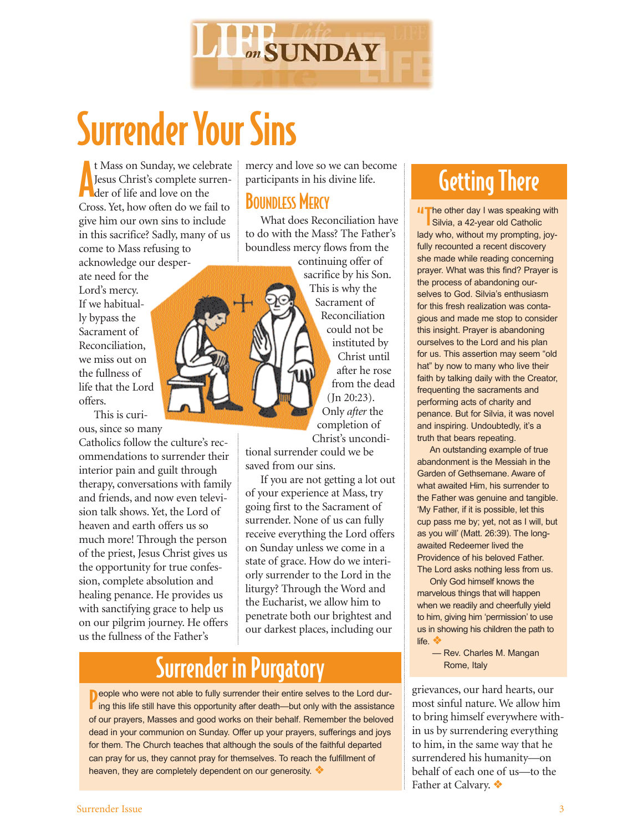

# Surrender Your Sins

t Mass on Sunday, we cele<br>Jesus Christ's complete su<br>der of life and love on the t Mass on Sunday, we celebrate Jesus Christ's complete surren-Cross. Yet, how often do we fail to give him our own sins to include in this sacrifice? Sadly, many of us come to Mass refusing to acknowledge our desper-

ate need for the Lord's mercy. If we habitually bypass the Sacrament of Reconciliation, we miss out on the fullness of life that the Lord offers.

This is curious, since so many

Catholics follow the culture's recommendations to surrender their interior pain and guilt through therapy, conversations with family and friends, and now even television talk shows. Yet, the Lord of heaven and earth offers us so much more! Through the person of the priest, Jesus Christ gives us the opportunity for true confession, complete absolution and healing penance. He provides us with sanctifying grace to help us on our pilgrim journey. He offers us the fullness of the Father's

mercy and love so we can become participants in his divine life.

#### BOUNDLESS MERCY

What does Reconciliation have to do with the Mass? The Father's boundless mercy flows from the

continuing offer of sacrifice by his Son. This is why the Sacrament of Reconciliation could not be instituted by Christ until after he rose from the dead (Jn 20:23). Only *after* the completion of Christ's uncondi-

tional surrender could we be saved from our sins.

If you are not getting a lot out of your experience at Mass, try going first to the Sacrament of surrender. None of us can fully receive everything the Lord offers on Sunday unless we come in a state of grace. How do we interiorly surrender to the Lord in the liturgy? Through the Word and the Eucharist, we allow him to penetrate both our brightest and our darkest places, including our

# Surrender in Purgatory

People who were not able to fully surrender their entire selves to the Lord during this life still have this opportunity after death—but only with the assistance  $\blacksquare$  ing this life still have this opportunity after death—but only with the assistance of our prayers, Masses and good works on their behalf. Remember the beloved dead in your communion on Sunday. Offer up your prayers, sufferings and joys for them. The Church teaches that although the souls of the faithful departed can pray for us, they cannot pray for themselves. To reach the fulfillment of heaven, they are completely dependent on our generosity. ❖

# Getting There

**IT** he other day I was speaking with Silvia, a 42-year old Catholic lady who, without my prompting, joyfully recounted a recent discovery she made while reading concerning prayer. What was this find? Prayer is the process of abandoning ourselves to God. Silvia's enthusiasm for this fresh realization was contagious and made me stop to consider this insight. Prayer is abandoning ourselves to the Lord and his plan for us. This assertion may seem "old hat" by now to many who live their faith by talking daily with the Creator, frequenting the sacraments and performing acts of charity and penance. But for Silvia, it was novel and inspiring. Undoubtedly, it's a truth that bears repeating.

An outstanding example of true abandonment is the Messiah in the Garden of Gethsemane. Aware of what awaited Him, his surrender to the Father was genuine and tangible. 'My Father, if it is possible, let this cup pass me by; yet, not as I will, but as you will' (Matt. 26:39). The longawaited Redeemer lived the Providence of his beloved Father. The Lord asks nothing less from us.

Only God himself knows the marvelous things that will happen when we readily and cheerfully yield to him, giving him 'permission' to use us in showing his children the path to life. ❖

> — Rev. Charles M. Mangan Rome, Italy

grievances, our hard hearts, our most sinful nature. We allow him to bring himself everywhere within us by surrendering everything to him, in the same way that he surrendered his humanity—on behalf of each one of us—to the Father at Calvary. ❖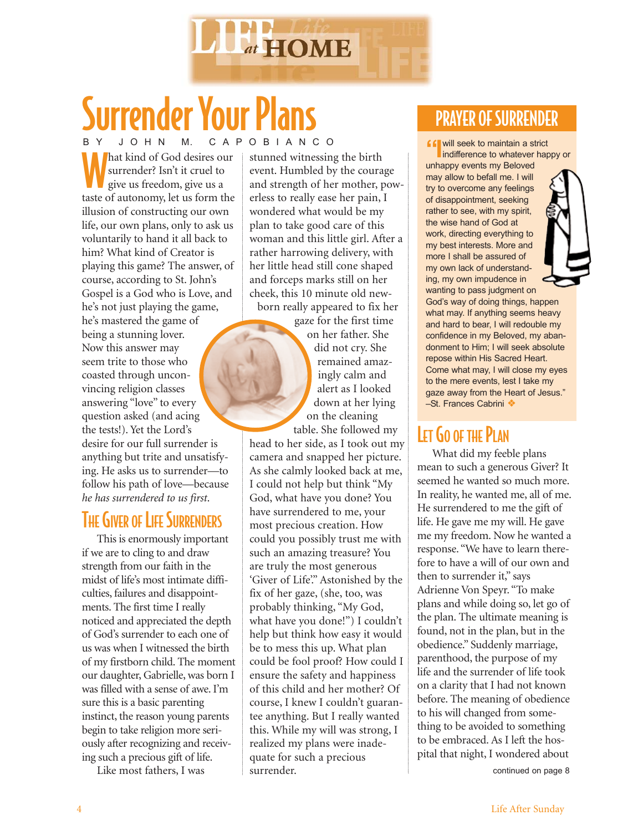

# Surrender Your Plans

W surrender? Isn't it cruel to give us freedom, give us a taste of autonomy, let us form the illusion of constructing our own life, our own plans, only to ask us voluntarily to hand it all back to him? What kind of Creator is playing this game? The answer, of course, according to St. John's Gospel is a God who is Love, and he's not just playing the game, he's mastered the game of being a stunning lover. Now this answer may seem trite to those who coasted through unconvincing religion classes answering "love" to every question asked (and acing the tests!). Yet the Lord's desire for our full surrender is anything but trite and unsatisfying. He asks us to surrender—to follow his path of love—because *he has surrendered to us first*.

## **THE GIVER OF LIFE SURRENDERS**

This is enormously important if we are to cling to and draw strength from our faith in the midst of life's most intimate difficulties, failures and disappointments. The first time I really noticed and appreciated the depth of God's surrender to each one of us was when I witnessed the birth of my firstborn child. The moment our daughter, Gabrielle, was born I was filled with a sense of awe. I'm sure this is a basic parenting instinct, the reason young parents begin to take religion more seriously after recognizing and receiving such a precious gift of life.

Like most fathers, I was

stunned witnessing the birth event. Humbled by the courage and strength of her mother, powerless to really ease her pain, I wondered what would be my plan to take good care of this woman and this little girl. After a rather harrowing delivery, with her little head still cone shaped and forceps marks still on her cheek, this 10 minute old newborn really appeared to fix her

gaze for the first time on her father. She did not cry. She remained amazingly calm and alert as I looked down at her lying on the cleaning

table. She followed my head to her side, as I took out my camera and snapped her picture. As she calmly looked back at me, I could not help but think "My God, what have you done? You have surrendered to me, your most precious creation. How could you possibly trust me with such an amazing treasure? You are truly the most generous 'Giver of Life'." Astonished by the fix of her gaze, (she, too, was probably thinking, "My God, what have you done!") I couldn't help but think how easy it would be to mess this up. What plan could be fool proof? How could I ensure the safety and happiness of this child and her mother? Of course, I knew I couldn't guarantee anything. But I really wanted this. While my will was strong, I realized my plans were inadequate for such a precious surrender.

## PRAYER OF SURRENDER

B Y J O H N M. C A P O B I A N C O **I I I** will seek to maintain a strict to that a strict to that the strict of God desires our stunned witnessing the birth indifference to whatever happy or unhappy events my Beloved may allow to befall me. I will try to overcome any feelings of disappointment, seeking rather to see, with my spirit, the wise hand of God at work, directing everything to my best interests. More and more I shall be assured of my own lack of understanding, my own impudence in wanting to pass judgment on God's way of doing things, happen what may. If anything seems heavy and hard to bear, I will redouble my confidence in my Beloved, my abandonment to Him; I will seek absolute repose within His Sacred Heart. Come what may, I will close my eyes to the mere events, lest I take my gaze away from the Heart of Jesus." –St. Frances Cabrini ❖

## LET GO OF THE PLAN

What did my feeble plans mean to such a generous Giver? It seemed he wanted so much more. In reality, he wanted me, all of me. He surrendered to me the gift of life. He gave me my will. He gave me my freedom. Now he wanted a response. "We have to learn therefore to have a will of our own and then to surrender it," says Adrienne Von Speyr. "To make plans and while doing so, let go of the plan. The ultimate meaning is found, not in the plan, but in the obedience." Suddenly marriage, parenthood, the purpose of my life and the surrender of life took on a clarity that I had not known before. The meaning of obedience to his will changed from something to be avoided to something to be embraced. As I left the hospital that night, I wondered about

continued on page 8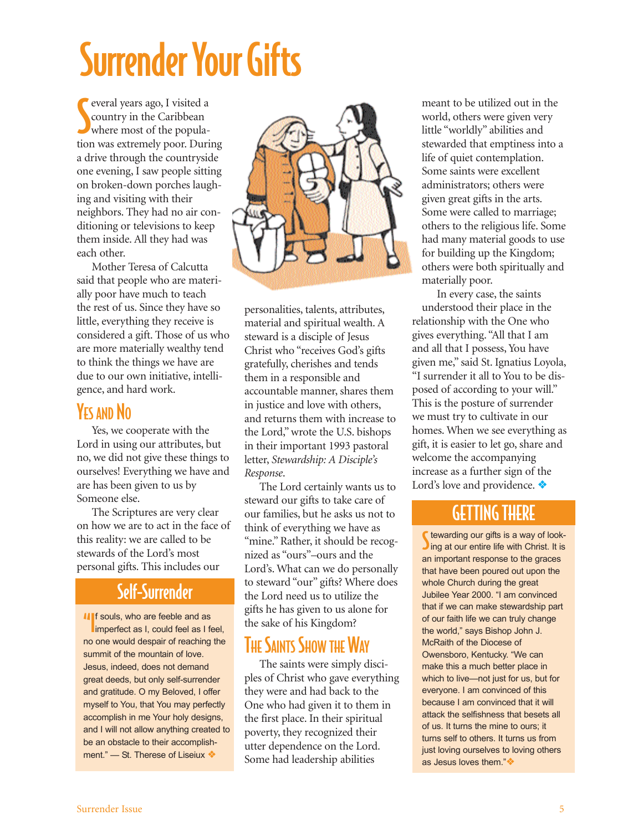# Surrender Your Gifts

Several years ago, I visited a country in the Caribbean where most of the populaeveral years ago, I visited a country in the Caribbean tion was extremely poor. During a drive through the countryside one evening, I saw people sitting on broken-down porches laughing and visiting with their neighbors. They had no air conditioning or televisions to keep them inside. All they had was each other.

Mother Teresa of Calcutta said that people who are materially poor have much to teach the rest of us. Since they have so little, everything they receive is considered a gift. Those of us who are more materially wealthy tend to think the things we have are due to our own initiative, intelligence, and hard work.

#### YES AND NO

Yes, we cooperate with the Lord in using our attributes, but no, we did not give these things to ourselves! Everything we have and are has been given to us by Someone else.

The Scriptures are very clear on how we are to act in the face of this reality: we are called to be stewards of the Lord's most personal gifts. This includes our

#### Self-Surrender

If souls, who are feeble and as<br>imperfect as I, could feel as I feel, no one would despair of reaching the summit of the mountain of love. Jesus, indeed, does not demand great deeds, but only self-surrender and gratitude. O my Beloved, I offer myself to You, that You may perfectly accomplish in me Your holy designs, and I will not allow anything created to be an obstacle to their accomplishment." — St. Therese of Liseiux ◆



personalities, talents, attributes, material and spiritual wealth. A steward is a disciple of Jesus Christ who "receives God's gifts gratefully, cherishes and tends them in a responsible and accountable manner, shares them in justice and love with others, and returns them with increase to the Lord," wrote the U.S. bishops in their important 1993 pastoral letter, *Stewardship: A Disciple's Response*.

The Lord certainly wants us to steward our gifts to take care of our families, but he asks us not to think of everything we have as "mine." Rather, it should be recognized as "ours"–ours and the Lord's. What can we do personally to steward "our" gifts? Where does the Lord need us to utilize the gifts he has given to us alone for the sake of his Kingdom?

#### **THE SAINTS SHOW THE WAY**

The saints were simply disciples of Christ who gave everything they were and had back to the One who had given it to them in the first place. In their spiritual poverty, they recognized their utter dependence on the Lord. Some had leadership abilities

meant to be utilized out in the world, others were given very little "worldly" abilities and stewarded that emptiness into a life of quiet contemplation. Some saints were excellent administrators; others were given great gifts in the arts. Some were called to marriage; others to the religious life. Some had many material goods to use for building up the Kingdom; others were both spiritually and materially poor.

In every case, the saints understood their place in the relationship with the One who gives everything. "All that I am and all that I possess, You have given me," said St. Ignatius Loyola, "I surrender it all to You to be disposed of according to your will." This is the posture of surrender we must try to cultivate in our homes. When we see everything as gift, it is easier to let go, share and welcome the accompanying increase as a further sign of the Lord's love and providence. ❖

#### GETTING THERE

S tewarding our gifts is a way of look-<br>Sing at our entire life with Christ. It is tewarding our gifts is a way of lookan important response to the graces that have been poured out upon the whole Church during the great Jubilee Year 2000. "I am convinced that if we can make stewardship part of our faith life we can truly change the world," says Bishop John J. McRaith of the Diocese of Owensboro, Kentucky. "We can make this a much better place in which to live—not just for us, but for everyone. I am convinced of this because I am convinced that it will attack the selfishness that besets all of us. It turns the mine to ours; it turns self to others. It turns us from just loving ourselves to loving others as Jesus loves them."❖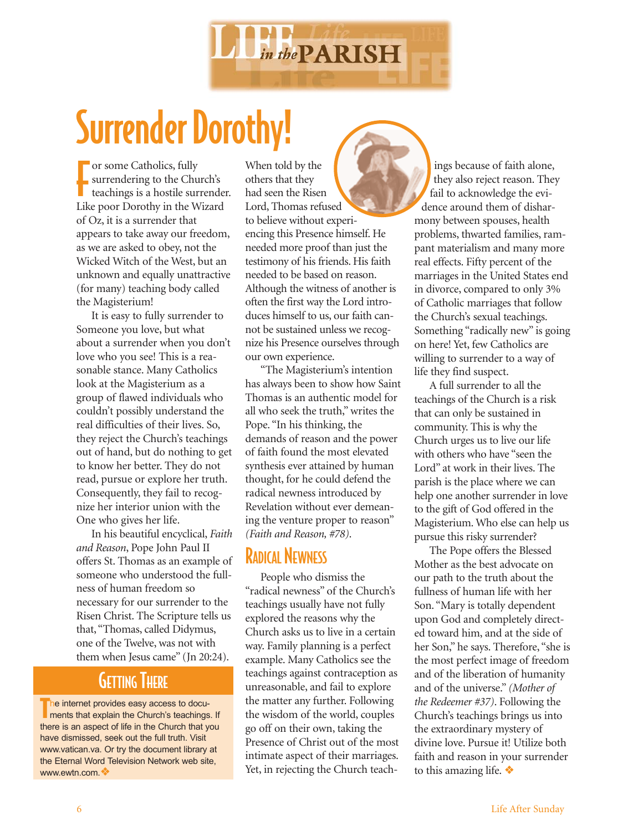

# Surrender Dorothy!

or some Catholics, fully<br>surrendering to the Chu<br>teachings is a hostile sur surrendering to the Church's teachings is a hostile surrender. Like poor Dorothy in the Wizard of Oz, it is a surrender that appears to take away our freedom, as we are asked to obey, not the Wicked Witch of the West, but an unknown and equally unattractive (for many) teaching body called the Magisterium!

It is easy to fully surrender to Someone you love, but what about a surrender when you don't love who you see! This is a reasonable stance. Many Catholics look at the Magisterium as a group of flawed individuals who couldn't possibly understand the real difficulties of their lives. So, they reject the Church's teachings out of hand, but do nothing to get to know her better. They do not read, pursue or explore her truth. Consequently, they fail to recognize her interior union with the One who gives her life.

In his beautiful encyclical, *Faith and Reason*, Pope John Paul II offers St. Thomas as an example of someone who understood the fullness of human freedom so necessary for our surrender to the Risen Christ. The Scripture tells us that, "Thomas, called Didymus, one of the Twelve, was not with them when Jesus came" (Jn 20:24).

#### **GETTING THERE**

The internet provides easy access to documents that explain the Church's teachings. If The internet provides easy access to docuthere is an aspect of life in the Church that you have dismissed, seek out the full truth. Visit www.vatican.va. Or try the document library at the Eternal Word Television Network web site, www.ewtn.com.❖

When told by the others that they had seen the Risen Lord, Thomas refused to believe without experiencing this Presence himself. He needed more proof than just the testimony of his friends. His faith needed to be based on reason. Although the witness of another is often the first way the Lord introduces himself to us, our faith cannot be sustained unless we recognize his Presence ourselves through our own experience.

"The Magisterium's intention has always been to show how Saint Thomas is an authentic model for all who seek the truth," writes the Pope. "In his thinking, the demands of reason and the power of faith found the most elevated synthesis ever attained by human thought, for he could defend the radical newness introduced by Revelation without ever demeaning the venture proper to reason" *(Faith and Reason, #78)*.

#### RADICAL NEWNESS

People who dismiss the "radical newness" of the Church's teachings usually have not fully explored the reasons why the Church asks us to live in a certain way. Family planning is a perfect example. Many Catholics see the teachings against contraception as unreasonable, and fail to explore the matter any further. Following the wisdom of the world, couples go off on their own, taking the Presence of Christ out of the most intimate aspect of their marriages. Yet, in rejecting the Church teach-

ings because of faith alone, they also reject reason. They fail to acknowledge the evidence around them of disharmony between spouses, health problems, thwarted families, rampant materialism and many more real effects. Fifty percent of the marriages in the United States end in divorce, compared to only 3% of Catholic marriages that follow the Church's sexual teachings. Something "radically new" is going on here! Yet, few Catholics are willing to surrender to a way of life they find suspect.

A full surrender to all the teachings of the Church is a risk that can only be sustained in community. This is why the Church urges us to live our life with others who have "seen the Lord" at work in their lives. The parish is the place where we can help one another surrender in love to the gift of God offered in the Magisterium. Who else can help us pursue this risky surrender?

The Pope offers the Blessed Mother as the best advocate on our path to the truth about the fullness of human life with her Son. "Mary is totally dependent upon God and completely directed toward him, and at the side of her Son," he says. Therefore, "she is the most perfect image of freedom and of the liberation of humanity and of the universe." *(Mother of the Redeemer #37)*. Following the Church's teachings brings us into the extraordinary mystery of divine love. Pursue it! Utilize both faith and reason in your surrender to this amazing life. ❖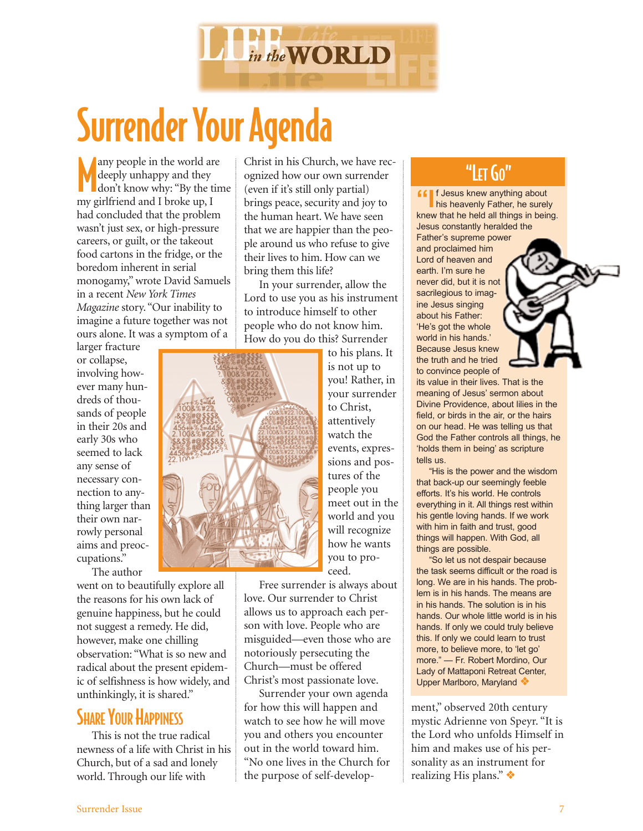

# Surrender Your Agenda

Many people in the world and deeply unhappy and they don't know why: "By the two girlfriend and I broke up, I any people in the world are deeply unhappy and they don't know why: "By the time had concluded that the problem wasn't just sex, or high-pressure careers, or guilt, or the takeout food cartons in the fridge, or the boredom inherent in serial monogamy," wrote David Samuels in a recent *New York Times Magazine* story. "Our inability to imagine a future together was not ours alone. It was a symptom of a

larger fracture or collapse, involving however many hundreds of thousands of people in their 20s and early 30s who seemed to lack any sense of necessary connection to anything larger than their own narrowly personal aims and preoccupations."

The author went on to beautifully explore all the reasons for his own lack of genuine happiness, but he could not suggest a remedy. He did, however, make one chilling

observation: "What is so new and radical about the present epidemic of selfishness is how widely, and unthinkingly, it is shared."

## **SHARE YOUR HAPPINESS**

This is not the true radical newness of a life with Christ in his Church, but of a sad and lonely world. Through our life with

Christ in his Church, we have recognized how our own surrender (even if it's still only partial) brings peace, security and joy to the human heart. We have seen that we are happier than the people around us who refuse to give their lives to him. How can we bring them this life?

In your surrender, allow the Lord to use you as his instrument to introduce himself to other people who do not know him. How do you do this? Surrender



to his plans. It is not up to you! Rather, in your surrender to Christ, attentively watch the events, expressions and postures of the people you meet out in the world and you will recognize how he wants you to proceed.

Free surrender is always about love. Our surrender to Christ allows us to approach each person with love. People who are misguided—even those who are notoriously persecuting the Church—must be offered Christ's most passionate love.

Surrender your own agenda for how this will happen and watch to see how he will move you and others you encounter out in the world toward him. "No one lives in the Church for the purpose of self-develop-

## "LET GO"

**ff** If Jesus knew anything about **his heavenly Father, he surely** knew that he held all things in being. Jesus constantly heralded the Father's supreme power and proclaimed him Lord of heaven and earth. I'm sure he never did, but it is not sacrilegious to imagine Jesus singing about his Father: 'He's got the whole world in his hands.' Because Jesus knew the truth and he tried to convince people of

its value in their lives. That is the meaning of Jesus' sermon about Divine Providence, about lilies in the field, or birds in the air, or the hairs on our head. He was telling us that God the Father controls all things, he 'holds them in being' as scripture tells us.

"His is the power and the wisdom that back-up our seemingly feeble efforts. It's his world. He controls everything in it. All things rest within his gentle loving hands. If we work with him in faith and trust, good things will happen. With God, all things are possible.

"So let us not despair because the task seems difficult or the road is long. We are in his hands. The problem is in his hands. The means are in his hands. The solution is in his hands. Our whole little world is in his hands. If only we could truly believe this. If only we could learn to trust more, to believe more, to 'let go' more." — Fr. Robert Mordino, Our Lady of Mattaponi Retreat Center, Upper Marlboro, Maryland ❖

ment," observed 20th century mystic Adrienne von Speyr. "It is the Lord who unfolds Himself in him and makes use of his personality as an instrument for realizing His plans." ❖